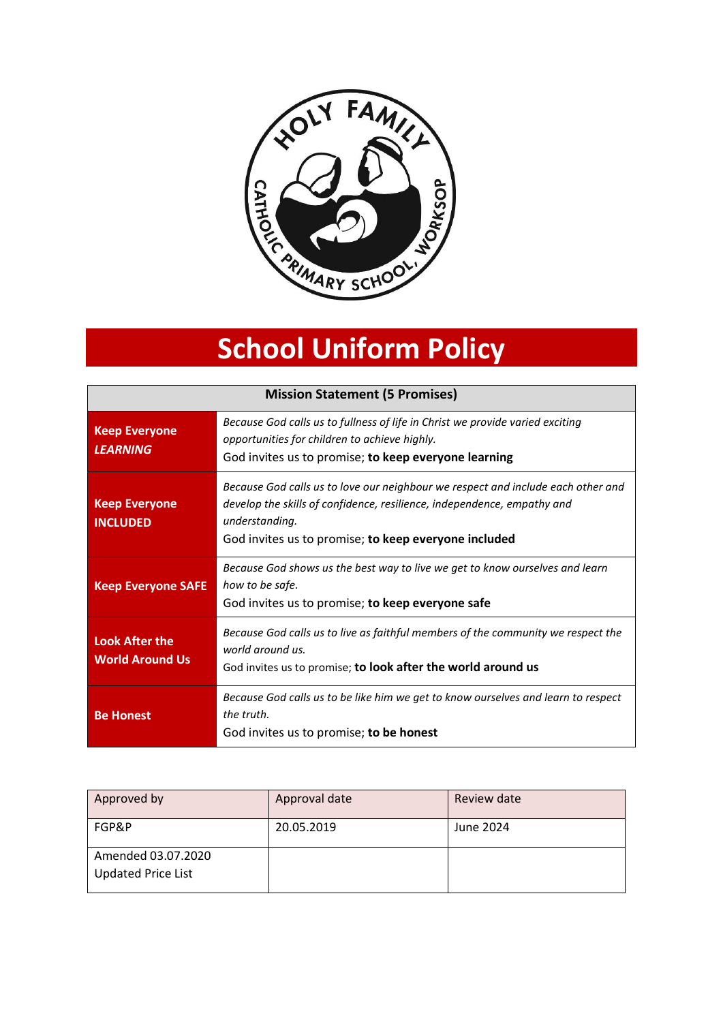

# **School Uniform Policy**

| <b>Mission Statement (5 Promises)</b>           |                                                                                                                                                                                                                                       |  |
|-------------------------------------------------|---------------------------------------------------------------------------------------------------------------------------------------------------------------------------------------------------------------------------------------|--|
| <b>Keep Everyone</b><br><b>LEARNING</b>         | Because God calls us to fullness of life in Christ we provide varied exciting<br>opportunities for children to achieve highly.<br>God invites us to promise; to keep everyone learning                                                |  |
| <b>Keep Everyone</b><br><b>INCLUDED</b>         | Because God calls us to love our neighbour we respect and include each other and<br>develop the skills of confidence, resilience, independence, empathy and<br>understanding.<br>God invites us to promise; to keep everyone included |  |
| <b>Keep Everyone SAFE</b>                       | Because God shows us the best way to live we get to know ourselves and learn<br>how to be safe.<br>God invites us to promise; to keep everyone safe                                                                                   |  |
| <b>Look After the</b><br><b>World Around Us</b> | Because God calls us to live as faithful members of the community we respect the<br>world around us.<br>God invites us to promise; to look after the world around us                                                                  |  |
| <b>Be Honest</b>                                | Because God calls us to be like him we get to know ourselves and learn to respect<br>the truth.<br>God invites us to promise; to be honest                                                                                            |  |

| Approved by                                     | Approval date | <b>Review date</b> |
|-------------------------------------------------|---------------|--------------------|
| FGP&P                                           | 20.05.2019    | June 2024          |
| Amended 03.07.2020<br><b>Updated Price List</b> |               |                    |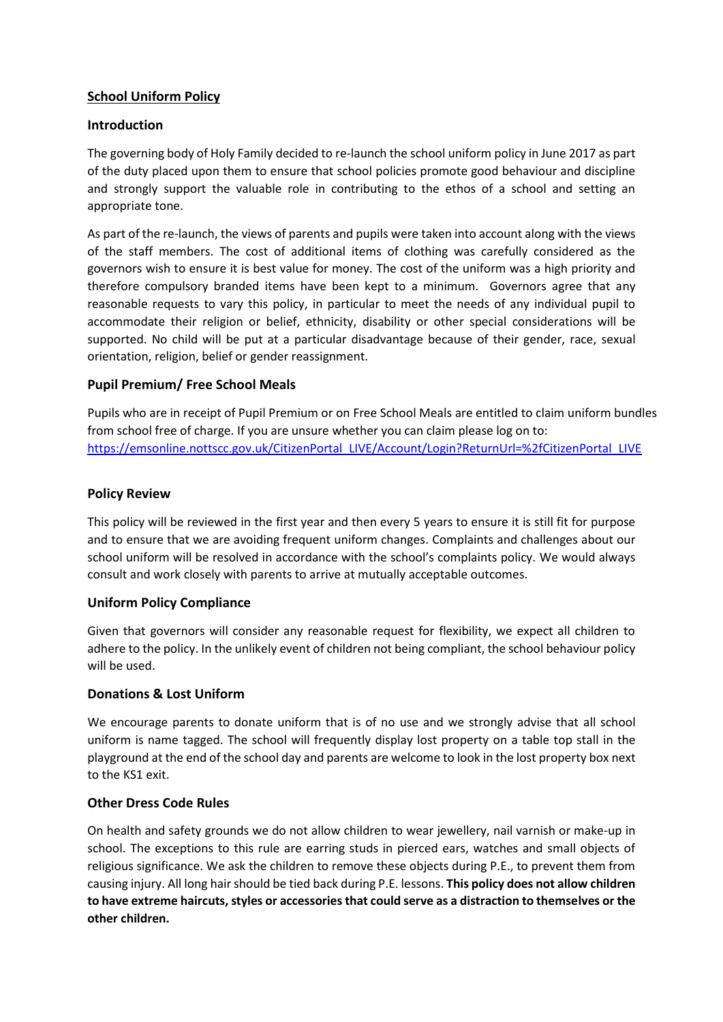## **School Uniform Policy**

### **Introduction**

The governing body of Holy Family decided to re-launch the school uniform policy in June 2017 as part of the duty placed upon them to ensure that school policies promote good behaviour and discipline and strongly support the valuable role in contributing to the ethos of a school and setting an appropriate tone.

As part of the re-launch, the views of parents and pupils were taken into account along with the views of the staff members. The cost of additional items of clothing was carefully considered as the governors wish to ensure it is best value for money. The cost of the uniform was a high priority and therefore compulsory branded items have been kept to a minimum. Governors agree that any reasonable requests to vary this policy, in particular to meet the needs of any individual pupil to accommodate their religion or belief, ethnicity, disability or other special considerations will be supported. No child will be put at a particular disadvantage because of their gender, race, sexual orientation, religion, belief or gender reassignment.

### **Pupil Premium/ Free School Meals**

Pupils who are in receipt of Pupil Premium or on Free School Meals are entitled to claim uniform bundles from school free of charge. If you are unsure whether you can claim please log on to: [https://emsonline.nottscc.gov.uk/CitizenPortal\\_LIVE/Account/Login?ReturnUrl=%2fCitizenPortal\\_LIVE](https://emsonline.nottscc.gov.uk/CitizenPortal_LIVE/Account/Login?ReturnUrl=%2fCitizenPortal_LIVE)

### **Policy Review**

This policy will be reviewed in the first year and then every 5 years to ensure it is still fit for purpose and to ensure that we are avoiding frequent uniform changes. Complaints and challenges about our school uniform will be resolved in accordance with the school's complaints policy. We would always consult and work closely with parents to arrive at mutually acceptable outcomes.

### **Uniform Policy Compliance**

Given that governors will consider any reasonable request for flexibility, we expect all children to adhere to the policy. In the unlikely event of children not being compliant, the school behaviour policy will be used.

### **Donations & Lost Uniform**

We encourage parents to donate uniform that is of no use and we strongly advise that all school uniform is name tagged. The school will frequently display lost property on a table top stall in the playground at the end of the school day and parents are welcome to look in the lost property box next to the KS1 exit.

### **Other Dress Code Rules**

On health and safety grounds we do not allow children to wear jewellery, nail varnish or make-up in school. The exceptions to this rule are earring studs in pierced ears, watches and small objects of religious significance. We ask the children to remove these objects during P.E., to prevent them from causing injury. All long hair should be tied back during P.E. lessons. **This policy does not allow children to have extreme haircuts, styles or accessories that could serve as a distraction to themselves or the other children.**